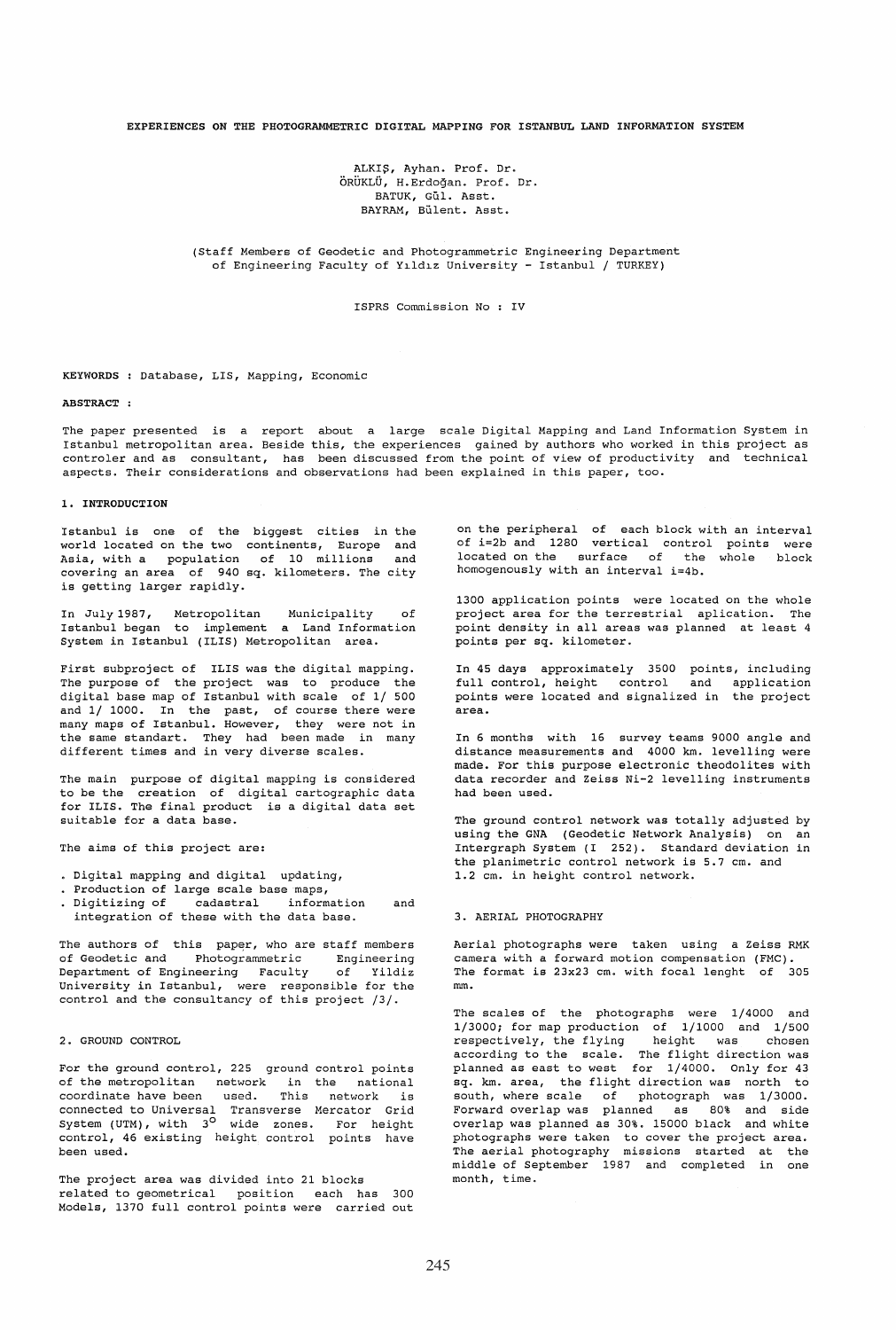### EXPERIENCES ON THE PHOTOGRAMMETRIC DIGITAL MAPPING FOR ISTANBUL LAND INFORMATION SYSTEM

ALKI\$, Ayhan. Prof. Dr. ORUKLU, H.Erdogan. Prof. Dr. BATUK, Gül. Asst. BAYRAM, Bülent. Asst.

(staff Members of Geodetic and Photogrammetric Engineering Department of Engineering Faculty of Yıldız University - Istanbul / TURKEY)

ISPRS Commission No : IV

#### KEYWORDS : Database, LIS, Mapping, Economic

### ABSTRACT:

The paper presented is a report about a large scale Digital Mapping and Land Information System in Istanbul metropolitan area. Beside this, the experiences gained by authors who worked in this project as controler and as consultant, has been discussed from the point of view of productivity and technical aspects. Their considerations and observations had been explained in this paper, too.

# 1. INTRODUCTION

Istanbul is one of the biggest cities in the world located on the two continents, Europe and Asia, with a population of 10 millions and covering an area of 940 sq. kilometers. The city is getting larger rapidly.

In July 1987, Metropolitan Municipality of Istanbul began to implement a Land Information System in Istanbul (ILlS) Metropolitan area.

First subproject of ILlS was the digital mapping. The purpose of the project was to produce the digital base map of Istanbul with scale of 1/ 500 and 1/ 1000. In the past, of course there were many maps of Istanbul. However, they were not in the same standart. They had been made in many different times and in very diverse scales.

The main purpose of digital mapping is considered to be the creation of digital cartographic data for ILlS. The final product is a digital data set suitable for a data base.

The aims of this project are:

- Digital mapping and digital updating,
- Production of large scale base maps,
- Digitizing of cadastral information and integration of these with the data base.

The authors of this paper, who are staff members of Geodetic and Photogrammetric Engineering Department of Engineering Faculty of Yildiz University in Istanbul, were responsible for the control and the consultancy of this project /3/.

### 2. GROUND CONTROL

For the ground control, 225 ground control points of the metropolitan network in the national coordinate have been used. This network is connected to Universal Transverse Mercator Grid System (UTM), with 3<sup>0</sup> wide zones. For height control, 46 existing height control points have been used.

The project area was divided into 21 blocks related to geometrical position each has 300 Models, 1370 full control points were carried out

on the peripheral of each block with an interval of i=2b and 1280 vertical control points were located on the surface of the whole block homogenously with an interval i=4b.

1300 application points were located on the whole project area for the terrestrial aplication. The point density in all areas was planned at least 4 points per sq. kilometer.

In 45 days approximately 3500 points, including full control, height control and application points were located and signalized in the project area.

In 6 months with 16 survey teams 9000 angle and distance measurements and 4000 km. levelling were made. For this purpose electronic theodolites with data recorder and Zeiss Ni-2 levelling instruments had been used.

The ground control network was totally adjusted by using the GNA (Geodetic Network Analysis) on an Intergraph System (I 252). Standard deviation in the planimetric control network is 5.7 cm. and 1.2 cm. in height control network.

### 3. AERIAL PHOTOGRAPHY

Aerial photographs were taken using a Zeiss RMK camera with a forward motion compensation (FMC). The format is 23x23 cm. with focal lenght of 305 mm.

The scales of the photographs were 1/4000 and 1/3000; for map production of 1/1000 and 1/500 respectively, the flying height was chosen according to the scale. The flight direction was planned as east to west for 1/4000. Only for 43 sq. km. area, the flight direction was north to south, where scale of photograph was 1/3000. Forward overlap was planned as 80% and side overlap was planned as 30%. 15000 black and white photographs were taken to cover the project area. The aerial photography missions started at the middle of September 1987 and completed in one month, time.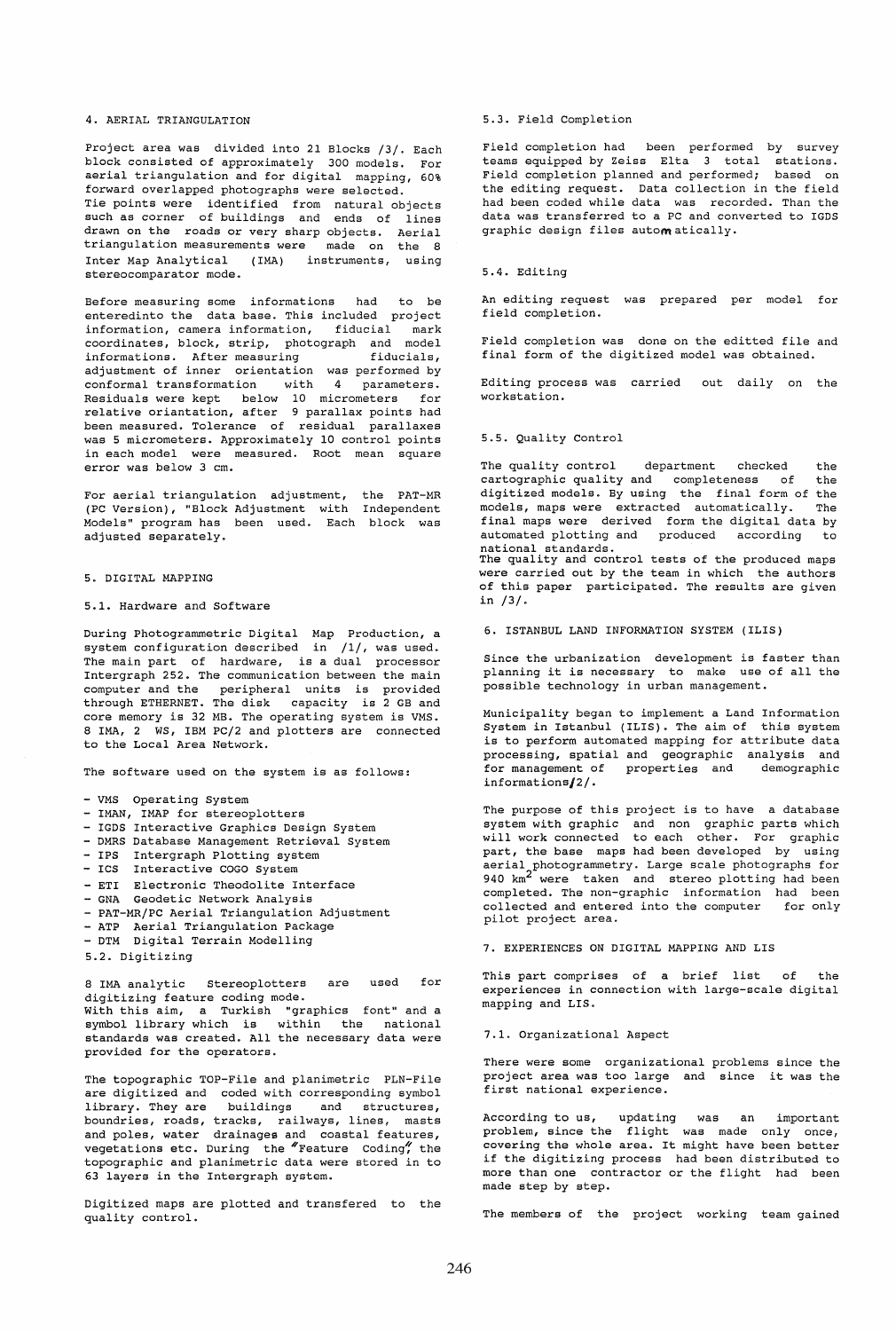# 4. AERIAL TRIANGULATION

Project area was divided into 21 Blocks /3/. Each block consisted of approximately 300 models. For aerial triangulation and for digital mapping, 60% forward overlapped photographs were selected. Tie points were identified from Tie points were identified from natural objects<br>such as corner of buildings and ends of lines drawn on the roads or very sharp drawn on the roads or very sharp objects. Aerial<br>triangulation measurements were made on the 8 ends of lines made on the 8 Inter Map Analytical (IMA) instruments, using stereocomparator mode.

Before measuring some informations had to be enteredinto the data base. This included project information, camera information, fiducial mark coordinates, block, strip, photograph and model informations. After measuring fiducials, adjustment of inner orientation was performed by conformal transformation with 4 parameters. Residuals were kept below 10 micrometers for relative oriantation, after 9 parallax points had been measured. Tolerance of residual parallaxes was 5 micrometers. Approximately 10 control points in each model were measured. Root mean square error was below 3 cm.

For aerial triangulation adjustment, (PC Version), "Block Adjustment with Models" program has been used. Each adjusted separately. the PAT-MR Independent block was

5. DIGITAL MAPPING

#### 5.1. Hardware and Software

During Photogrammetric Digital Map Production, a system configuration described in /1/, was used. The main part of hardware, is a dual processor Intergraph 252. The communication between the main computer and the peripheral units is provided through ETHERNET. The disk capacity is 2 GB and core memory is 32 MB. The operating system is VMS. 8 lMA, 2 WS, IBM PC/2 and plotters are connected to the Local Area Network.

The software used on the system is as follows:

- VMS Operating System
- IMAN, IMAP for stereoplotters
- IGDS Interactive Graphics Design System
- DMRS Database Management Retrieval System
- IPS Intergraph Plotting system
- ICS Interactive COGO System
- ETI Electronic Theodolite Interface
- GNA Geodetic Network Analysis
- PAT-MR/PC Aerial Triangulation Adjustment
- ATP Aerial Triangulation Package
- DTM Digital Terrain Modelling
- 5.2. Digitizing

8 lMA analytic Stereoplotters are used for digitizing feature coding mode. With this aim, a Turkish "graphics font" and a symbol library which is within the national standards was created. All the necessary data were provided for the operators.

The topographic TOP-File and planimetric PLN-File are digitized and coded with corresponding symbol library. They are buildings and structures, boundries, roads, tracks, railways, lines, masts and poles, water drainages and coastal features, vegetations etc. During the "Feature Coding" the topographic and planimetric data were stored in to 63 layers in the Intergraph system.

Digitized maps are plotted and transfered to the quality control.

## 5.3. Field Completion

Field completion had been performed by survey teams equipped by Zeiss Elta 3 total stations. Field completion planned and performed; based on the editing request. Data collection in the field had been coded while data was recorded. Than the data was transferred to a PC and converted to IGDS graphic design files autom atically.

# 5.4. Editing

An editing request was prepared per model for field completion.

Field completion was done on the editted file and final form of the digitized model was obtained.

Editing process was carried out daily on the workstation.

#### 5.5. Quality Control

The quality control department checked the<br>cartographic quality and completeness of the cartographic quality and completeness of digitized models. By using the final form of the models, maps were extracted automatically. The final maps were derived form the digital data by automated plotting and produced according to national standards. The quality and control tests of the produced maps were carried out by the team in which the authors of this paper participated. The results are given in /3/.

6. ISTANBUL LAND INFORMATION SYSTEM (ILlS)

Since the urbanization development is faster than planning it is necessary to make use of all the possible technology in urban management.

Municipality began to implement a Land Information System in Istanbul (ILIS). The aim of this system is to perform automated mapping for attribute data processing, spatial and geographic analysis and for management of properties and demographic informations/2/.

The purpose of this project is to have a database system with graphic and non graphic parts which will work connected to each other. For graphic part, the base maps had been developed by using aerial photogrammetry. Large scale photographs for 940 km<sup>2</sup> were taken and stereo plotting had been 940  $km^2$  were taken and stereo plotting had been completed. The non-graphic information had been collected and entered into the computer for only pilot project area.

**7.** EXPERIENCES ON DIGITAL MAPPING AND LIS

This part comprises of a brief list of the experiences in connection with large-scale digital mapping and LIS.

# 7.1. Organizational Aspect

There were some organizational problems since the project area was too large and since it was the first national experience.

was an important problem, since the flight was made only once, prostem, time the fiftime was made only once, covering the whole area. It might have been better<br>if the digitizing process had been distributed to more than one contractor or the flight had been According to us, updating made step by step.

The members of the project working team gained